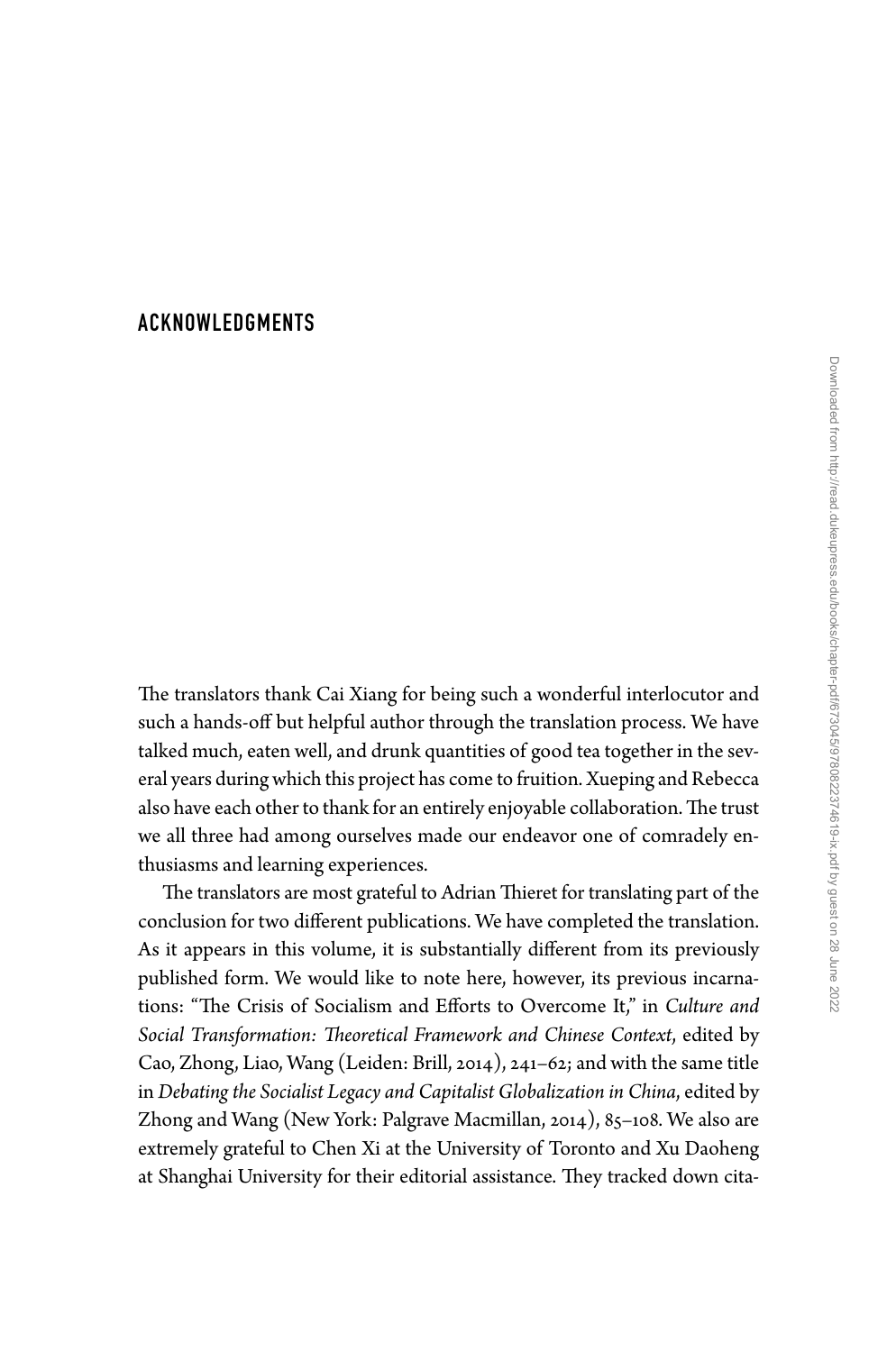## [ACKNOWLEDGMENTS](#page--1-0)

The translators thank Cai Xiang for being such a wonderful interlocutor and such a hands-off but helpful author through the translation process. We have talked much, eaten well, and drunk quantities of good tea together in the several years during which this project has come to fruition. Xueping and Rebecca also have each other to thank for an entirely enjoyable collaboration. The trust we all three had among ourselves made our endeavor one of comradely enthusiasms and learning experiences.

The translators are most grateful to Adrian Thieret for translating part of the conclusion for two different publications. We have completed the translation. As it appears in this volume, it is substantially different from its previously published form. We would like to note here, however, its previous incarnations: "The Crisis of Socialism and Efforts to Overcome It," in *Culture and Social Transformation: Theoretical Framework and Chinese Context*, edited by Cao, Zhong, Liao, Wang (Leiden: Brill, 2014), 241– 62; and with the same title in *Debating the Socialist Legacy and Capitalist Globalization in China*, edited by Zhong and Wang (New York: Palgrave Macmillan, 2014), 85-108. We also are extremely grateful to Chen Xi at the University of Toronto and Xu Daoheng at Shanghai University for their editorial assistance. They tracked down cita